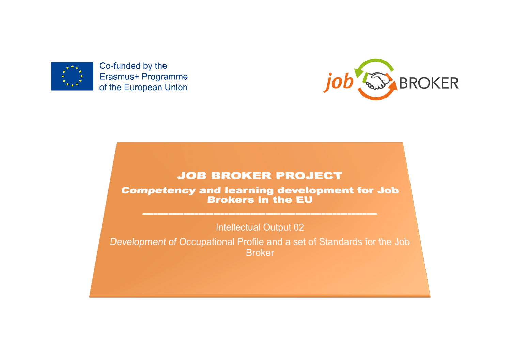

Co-funded by the Erasmus+ Programme of the European Union



# **JOB BROKER PROJECT**

**Competency and learning development for Job Brokers in the EU** 

**Intellectual Output 02** 

Development of Occupational Profile and a set of Standards for the Job **Broker**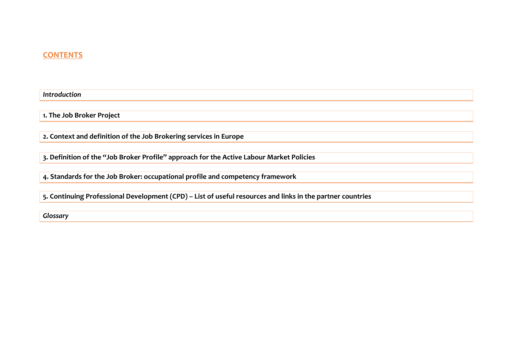# **CONTENTS**

*Introduction*

**1. The Job Broker Project** 

2. Context and definition of the Job Brokering services in Europe

**3. Definition of the "Job Broker Profile" approach for the Active Labour Market Policies** 

4. Standards for the Job Broker: occupational profile and competency framework

5. Continuing Professional Development (CPD) - List of useful resources and links in the partner countries

*Glossary*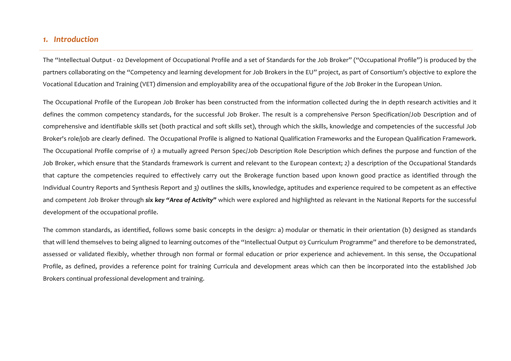## *1. Introduction*

The "Intellectual Output - 02 Development of Occupational Profile and a set of Standards for the Job Broker" ("Occupational Profile") is produced by the partners collaborating on the "Competency and learning development for Job Brokers in the EU" project, as part of Consortium's objective to explore the Vocational Education and Training (VET) dimension and employability area of the occupational figure of the Job Broker in the European Union.

The Occupational Profile of the European Job Broker has been constructed from the information collected during the in depth research activities and it defines the common competency standards, for the successful Job Broker. The result is a comprehensive Person Specification/Job Description and of comprehensive and identifiable skills set (both practical and soft skills set), through which the skills, knowledge and competencies of the successful Job Broker's role/job are clearly defined. The Occupational Profile is aligned to National Qualification Frameworks and the European Qualification Framework. The Occupational Profile comprise of 1) a mutually agreed Person Spec/Job Description Role Description which defines the purpose and function of the Job Broker, which ensure that the Standards framework is current and relevant to the European context; 2) a description of the Occupational Standards that capture the competencies required to effectively carry out the Brokerage function based upon known good practice as identified through the Individual Country Reports and Synthesis Report and 3) outlines the skills, knowledge, aptitudes and experience required to be competent as an effective and competent Job Broker through *six key "Area of Activity"* which were explored and highlighted as relevant in the National Reports for the successful development of the occupational profile.

The common standards, as identified, follows some basic concepts in the design: a) modular or thematic in their orientation (b) designed as standards that will lend themselves to being aligned to learning outcomes of the "Intellectual Output 03 Curriculum Programme" and therefore to be demonstrated, assessed or validated flexibly, whether through non formal or formal education or prior experience and achievement. In this sense, the Occupational Profile, as defined, provides a reference point for training Curricula and development areas which can then be incorporated into the established Job Brokers continual professional development and training.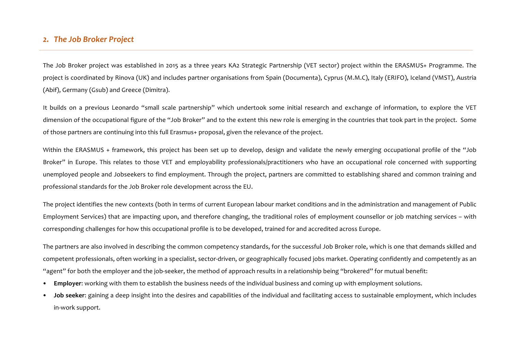# *2. The Job Broker Project*

The Job Broker project was established in 2015 as a three years KA2 Strategic Partnership (VET sector) project within the ERASMUS+ Programme. The project is coordinated by Rinova (UK) and includes partner organisations from Spain (Documenta), Cyprus (M.M.C), Italy (ERIFO), Iceland (VMST), Austria (Abif), Germany (Gsub) and Greece (Dimitra).

It builds on a previous Leonardo "small scale partnership" which undertook some initial research and exchange of information, to explore the VET dimension of the occupational figure of the "Job Broker" and to the extent this new role is emerging in the countries that took part in the project. Some of those partners are continuing into this full Erasmus+ proposal, given the relevance of the project.

Within the ERASMUS + framework, this project has been set up to develop, design and validate the newly emerging occupational profile of the "Job" Broker" in Europe. This relates to those VET and employability professionals/practitioners who have an occupational role concerned with supporting unemployed people and Jobseekers to find employment. Through the project, partners are committed to establishing shared and common training and professional standards for the Job Broker role development across the EU.

The project identifies the new contexts (both in terms of current European labour market conditions and in the administration and management of Public Employment Services) that are impacting upon, and therefore changing, the traditional roles of employment counsellor or job matching services – with corresponding challenges for how this occupational profile is to be developed, trained for and accredited across Europe.

The partners are also involved in describing the common competency standards, for the successful Job Broker role, which is one that demands skilled and competent professionals, often working in a specialist, sector-driven, or geographically focused jobs market. Operating confidently and competently as an "agent" for both the employer and the job-seeker, the method of approach results in a relationship being "brokered" for mutual benefit:

- Employer: working with them to establish the business needs of the individual business and coming up with employment solutions.
- **Job seeker:** gaining a deep insight into the desires and capabilities of the individual and facilitating access to sustainable employment, which includes in-work support.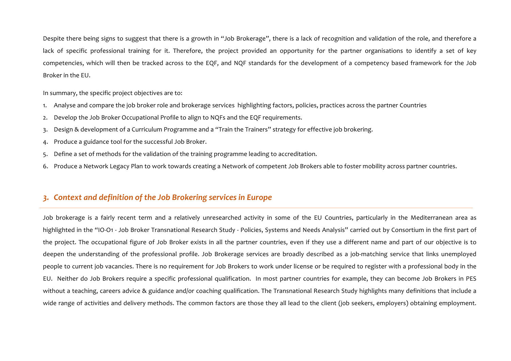Despite there being signs to suggest that there is a growth in "Job Brokerage", there is a lack of recognition and validation of the role, and therefore a lack of specific professional training for it. Therefore, the project provided an opportunity for the partner organisations to identify a set of key competencies, which will then be tracked across to the EQF, and NQF standards for the development of a competency based framework for the Job Broker in the EU.

In summary, the specific project objectives are to:

- 1. Analyse and compare the job broker role and brokerage services highlighting factors, policies, practices across the partner Countries
- 2. Develop the Job Broker Occupational Profile to align to NQFs and the EQF requirements.
- 3. Design & development of a Curriculum Programme and a "Train the Trainers" strategy for effective job brokering.
- 4. Produce a guidance tool for the successful Job Broker.
- 5. Define a set of methods for the validation of the training programme leading to accreditation.
- 6. Produce a Network Legacy Plan to work towards creating a Network of competent Job Brokers able to foster mobility across partner countries.

## *3. Context and definition of the Job Brokering services in Europe*

Job brokerage is a fairly recent term and a relatively unresearched activity in some of the EU Countries, particularly in the Mediterranean area as highlighted in the "IO-O1 - Job Broker Transnational Research Study - Policies, Systems and Needs Analysis" carried out by Consortium in the first part of the project. The occupational figure of Job Broker exists in all the partner countries, even if they use a different name and part of our objective is to deepen the understanding of the professional profile. Job Brokerage services are broadly described as a job-matching service that links unemployed people to current job vacancies. There is no requirement for Job Brokers to work under license or be required to register with a professional body in the EU. Neither do Job Brokers require a specific professional qualification. In most partner countries for example, they can become Job Brokers in PES without a teaching, careers advice & guidance and/or coaching qualification. The Transnational Research Study highlights many definitions that include a wide range of activities and delivery methods. The common factors are those they all lead to the client (job seekers, employers) obtaining employment.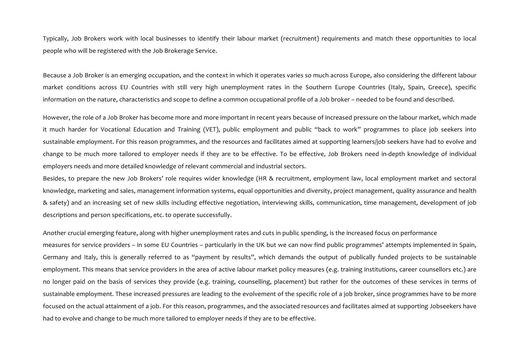Typically, Job Brokers work with local businesses to identify their labour market (recruitment) requirements and match these opportunities to local people who will be registered with the Job Brokerage Service.

Because a Job Broker is an emerging occupation, and the context in which it operates varies so much across Europe, also considering the different labour market conditions across EU Countries with still very high unemployment rates in the Southern Europe Countries (Italy, Spain, Greece), specific information on the nature, characteristics and scope to define a common occupational profile of a Job broker – needed to be found and described.

However, the role of a Job Broker has become more and more important in recent years because of increased pressure on the labour market, which made it much harder for Vocational Education and Training (VET), public employment and public "back to work" programmes to place job seekers into sustainable employment. For this reason programmes, and the resources and facilitates aimed at supporting learners/job seekers have had to evolve and change to be much more tailored to employer needs if they are to be effective. To be effective, Job Brokers need in-depth knowledge of individual employers needs and more detailed knowledge of relevant commercial and industrial sectors.

Besides, to prepare the new Job Brokers' role requires wider knowledge (HR & recruitment, employment law, local employment market and sectoral knowledge, marketing and sales, management information systems, equal opportunities and diversity, project management, quality assurance and health & safety) and an increasing set of new skills including effective negotiation, interviewing skills, communication, time management, development of job descriptions and person specifications, etc. to operate successfully.

Another crucial emerging feature, along with higher unemployment rates and cuts in public spending, is the increased focus on performance measures for service providers – in some EU Countries – particularly in the UK but we can now find public programmes' attempts implemented in Spain, Germany and Italy, this is generally referred to as "payment by results", which demands the output of publically funded projects to be sustainable employment. This means that service providers in the area of active labour market policy measures (e.g. training institutions, career counsellors etc.) are no longer paid on the basis of services they provide (e.g. training, counselling, placement) but rather for the outcomes of these services in terms of sustainable employment. These increased pressures are leading to the evolvement of the specific role of a job broker, since programmes have to be more focused on the actual attainment of a job. For this reason, programmes, and the associated resources and facilitates aimed at supporting Jobseekers have had to evolve and change to be much more tailored to employer needs if they are to be effective.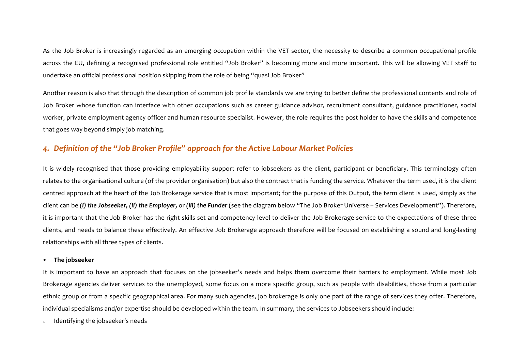As the Job Broker is increasingly regarded as an emerging occupation within the VET sector, the necessity to describe a common occupational profile across the EU, defining a recognised professional role entitled "Job Broker" is becoming more and more important. This will be allowing VET staff to undertake an official professional position skipping from the role of being "quasi Job Broker"

Another reason is also that through the description of common job profile standards we are trying to better define the professional contents and role of Job Broker whose function can interface with other occupations such as career guidance advisor, recruitment consultant, guidance practitioner, social worker, private employment agency officer and human resource specialist. However, the role requires the post holder to have the skills and competence that goes way beyond simply job matching.

# 4. Definition of the "Job Broker Profile" approach for the Active Labour Market Policies

It is widely recognised that those providing employability support refer to jobseekers as the client, participant or beneficiary. This terminology often relates to the organisational culture (of the provider organisation) but also the contract that is funding the service. Whatever the term used, it is the client centred approach at the heart of the Job Brokerage service that is most important; for the purpose of this Output, the term client is used, simply as the client can be (i) the Jobseeker, (ii) the Employer, or (iii) the Funder (see the diagram below "The Job Broker Universe - Services Development"). Therefore, it is important that the Job Broker has the right skills set and competency level to deliver the Job Brokerage service to the expectations of these three clients, and needs to balance these effectively. An effective Job Brokerage approach therefore will be focused on establishing a sound and long-lasting relationships with all three types of clients.

### **The jobseeker**

It is important to have an approach that focuses on the jobseeker's needs and helps them overcome their barriers to employment. While most Job Brokerage agencies deliver services to the unemployed, some focus on a more specific group, such as people with disabilities, those from a particular ethnic group or from a specific geographical area. For many such agencies, job brokerage is only one part of the range of services they offer. Therefore, individual specialisms and/or expertise should be developed within the team. In summary, the services to Jobseekers should include:

Identifying the jobseeker's needs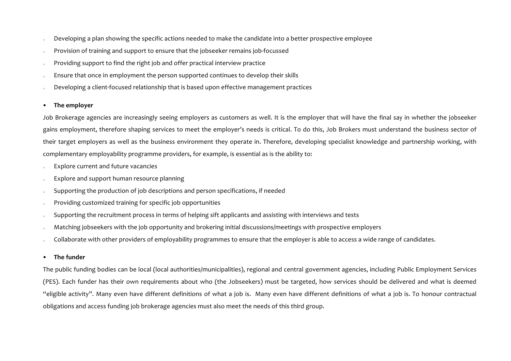- Developing a plan showing the specific actions needed to make the candidate into a better prospective employee
- Provision of training and support to ensure that the jobseeker remains job-focussed
- Providing support to find the right job and offer practical interview practice
- Ensure that once in employment the person supported continues to develop their skills
- Developing a client-focused relationship that is based upon effective management practices

### • The employer

Job Brokerage agencies are increasingly seeing employers as customers as well. It is the employer that will have the final say in whether the jobseeker gains employment, therefore shaping services to meet the employer's needs is critical. To do this, Job Brokers must understand the business sector of their target employers as well as the business environment they operate in. Therefore, developing specialist knowledge and partnership working, with complementary employability programme providers, for example, is essential as is the ability to:

- s Explore current and future vacancies
- Explore and support human resource planning
- o Supporting the production of job descriptions and person specifications, if needed
- Providing customized training for specific job opportunities
- Supporting the recruitment process in terms of helping sift applicants and assisting with interviews and tests
- Matching jobseekers with the job opportunity and brokering initial discussions/meetings with prospective employers
- Collaborate with other providers of employability programmes to ensure that the employer is able to access a wide range of candidates.

### • The funder

The public funding bodies can be local (local authorities/municipalities), regional and central government agencies, including Public Employment Services (PES). Each funder has their own requirements about who (the Jobseekers) must be targeted, how services should be delivered and what is deemed "eligible activity". Many even have different definitions of what a job is. Many even have different definitions of what a job is. To honour contractual obligations and access funding job brokerage agencies must also meet the needs of this third group.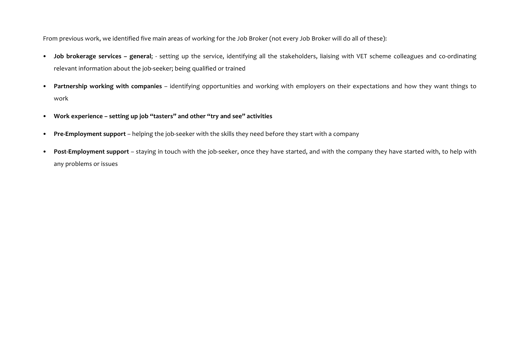From previous work, we identified five main areas of working for the Job Broker (not every Job Broker will do all of these):

- Job brokerage services general; setting up the service, identifying all the stakeholders, liaising with VET scheme colleagues and co-ordinating relevant information about the job-seeker; being qualified or trained
- Partnership working with companies identifying opportunities and working with employers on their expectations and how they want things to work
- **Work experience – setting up job "tasters" and other "try and see" activities**
- Pre-Employment support helping the job-seeker with the skills they need before they start with a company
- Post-Employment support staying in touch with the job-seeker, once they have started, and with the company they have started with, to help with any problems or issues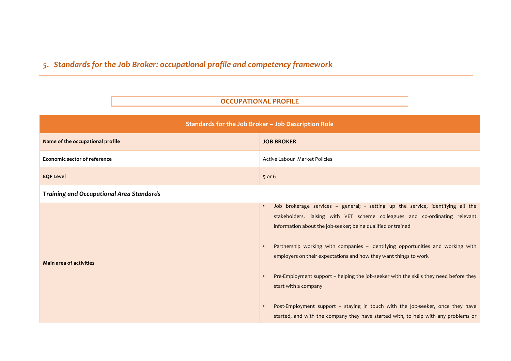# 5. *Standards for the Job Broker: occupational profile and competency framework*

# **OCCUPATIONAL PROFILE**

| Standards for the Job Broker - Job Description Role |                                                                                                                                                                                                                                                                                                                                                                                                                                                                                                                                                                                                                                                                                 |  |  |  |
|-----------------------------------------------------|---------------------------------------------------------------------------------------------------------------------------------------------------------------------------------------------------------------------------------------------------------------------------------------------------------------------------------------------------------------------------------------------------------------------------------------------------------------------------------------------------------------------------------------------------------------------------------------------------------------------------------------------------------------------------------|--|--|--|
| Name of the occupational profile                    | <b>JOB BROKER</b>                                                                                                                                                                                                                                                                                                                                                                                                                                                                                                                                                                                                                                                               |  |  |  |
| <b>Economic sector of reference</b>                 | Active Labour Market Policies                                                                                                                                                                                                                                                                                                                                                                                                                                                                                                                                                                                                                                                   |  |  |  |
| <b>EQF Level</b>                                    | $5$ or 6                                                                                                                                                                                                                                                                                                                                                                                                                                                                                                                                                                                                                                                                        |  |  |  |
| <b>Training and Occupational Area Standards</b>     |                                                                                                                                                                                                                                                                                                                                                                                                                                                                                                                                                                                                                                                                                 |  |  |  |
| <b>Main area of activities</b>                      | Job brokerage services - general; - setting up the service, identifying all the<br>stakeholders, liaising with VET scheme colleagues and co-ordinating relevant<br>information about the job-seeker; being qualified or trained<br>Partnership working with companies - identifying opportunities and working with<br>employers on their expectations and how they want things to work<br>Pre-Employment support - helping the job-seeker with the skills they need before they<br>start with a company<br>Post-Employment support - staying in touch with the job-seeker, once they have<br>started, and with the company they have started with, to help with any problems or |  |  |  |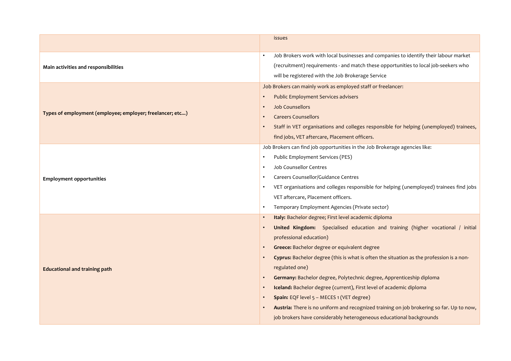|                                                           | issues                                                                                   |
|-----------------------------------------------------------|------------------------------------------------------------------------------------------|
|                                                           | Job Brokers work with local businesses and companies to identify their labour market     |
| Main activities and responsibilities                      | (recruitment) requirements - and match these opportunities to local job-seekers who      |
|                                                           | will be registered with the Job Brokerage Service                                        |
|                                                           | Job Brokers can mainly work as employed staff or freelancer:                             |
|                                                           | <b>Public Employment Services advisers</b>                                               |
|                                                           | <b>Job Counsellors</b>                                                                   |
| Types of employment (employee; employer; freelancer; etc) | <b>Careers Counsellors</b>                                                               |
|                                                           | Staff in VET organisations and colleges responsible for helping (unemployed) trainees,   |
|                                                           | find jobs, VET aftercare, Placement officers.                                            |
|                                                           | Job Brokers can find job opportunities in the Job Brokerage agencies like:               |
|                                                           | Public Employment Services (PES)                                                         |
|                                                           | <b>Job Counsellor Centres</b>                                                            |
| <b>Employment opportunities</b>                           | Careers Counsellor/Guidance Centres                                                      |
|                                                           | VET organisations and colleges responsible for helping (unemployed) trainees find jobs   |
|                                                           | VET aftercare, Placement officers.                                                       |
|                                                           | Temporary Employment Agencies (Private sector)                                           |
|                                                           | Italy: Bachelor degree; First level academic diploma                                     |
|                                                           | United Kingdom: Specialised education and training (higher vocational / initial          |
|                                                           | professional education)                                                                  |
|                                                           | Greece: Bachelor degree or equivalent degree                                             |
|                                                           | Cyprus: Bachelor degree (this is what is often the situation as the profession is a non- |
| <b>Educational and training path</b>                      | regulated one)                                                                           |
|                                                           | Germany: Bachelor degree, Polytechnic degree, Apprenticeship diploma                     |
|                                                           | Iceland: Bachelor degree (current), First level of academic diploma                      |
|                                                           | Spain: EQF level 5 - MECES 1 (VET degree)                                                |
|                                                           | Austria: There is no uniform and recognized training on job brokering so far. Up to now, |
|                                                           | job brokers have considerably heterogeneous educational backgrounds                      |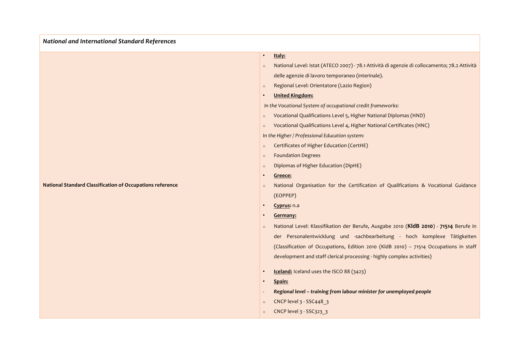*National and International Standard References*

|                                                                  | $\circ$   | Vocationa                                                                                                       |
|------------------------------------------------------------------|-----------|-----------------------------------------------------------------------------------------------------------------|
|                                                                  |           | In the Higher / I                                                                                               |
|                                                                  | $\circ$   | Certificate                                                                                                     |
|                                                                  | $\circ$   | Foundatio                                                                                                       |
|                                                                  | $\circ$   | <b>Diplomas</b>                                                                                                 |
|                                                                  | $\bullet$ | Greece:                                                                                                         |
| <b>National Standard Classification of Occupations reference</b> | $\Omega$  | National                                                                                                        |
|                                                                  |           | the contract of the contract of the contract of the contract of the contract of the contract of the contract of |

### • **Italy:**

- o National Level: Istat (ATECO 2007) 78.1 Attività di agenzie di collocamento; 78.2 Attività delle agenzie di lavoro temporaneo (interinale).
- o Regional Level: Orientatore (Lazio Region)
- **United Kingdom:**

*In the Vocational System of occupational credit frameworks:* 

- o Vocational Qualifications Level 5, Higher National Diplomas (HND)
- al Qualifications Level 4, Higher National Certificates (HNC)

*Professional Education system:* 

- es of Higher Education (CertHE)
- on Degrees
- of Higher Education (DipHE)
- Organisation for the Certification of Qualifications & Vocational Guidance (EOPPEP)
- **Cyprus:** n.a
- **Germany:**
- o National Level: Klassifikation der Berufe, Ausgabe 2010 (KldB 2010) 71514 Berufe in der Personalentwicklung und -sachbearbeitung - hoch komplexe Tätigkeiten (Classification of Occupations, Edition 2010 (KldB 2010) - 71514 Occupations in staff development and staff clerical processing - highly complex activities)
- **Iceland:** Iceland uses the ISCO 88 (3423)
- **Spain:**
- Regional level training from labour minister for unemployed people
- o CNCP level 3 SSC448 3
- o CNCP level 3 SSC323\_3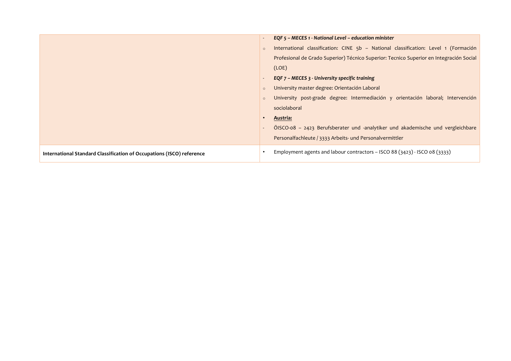|                                                                       |         | EQF 5 - MECES 1 - National Level - education minister                                   |
|-----------------------------------------------------------------------|---------|-----------------------------------------------------------------------------------------|
|                                                                       | $\circ$ | International classification: CINE 5b - National classification: Level 1 (Formación     |
|                                                                       |         | Profesional de Grado Superior) Técnico Superior: Tecnico Superior en Integración Social |
|                                                                       |         | (LOE)                                                                                   |
|                                                                       |         | EQF 7 - MECES 3 - University specific training                                          |
|                                                                       | $\circ$ | University master degree: Orientación Laboral                                           |
|                                                                       | $\circ$ | University post-grade degree: Intermediación y orientación laboral; Intervención        |
|                                                                       |         | sociolaboral                                                                            |
|                                                                       |         | Austria:                                                                                |
|                                                                       |         | ÖISCO-08 - 2423 Berufsberater und -analytiker und akademische und vergleichbare         |
|                                                                       |         | Personalfachleute / 3333 Arbeits- und Personalvermittler                                |
| International Standard Classification of Occupations (ISCO) reference |         | Employment agents and labour contractors – ISCO 88 $(3423)$ - ISCO 08 $(3333)$          |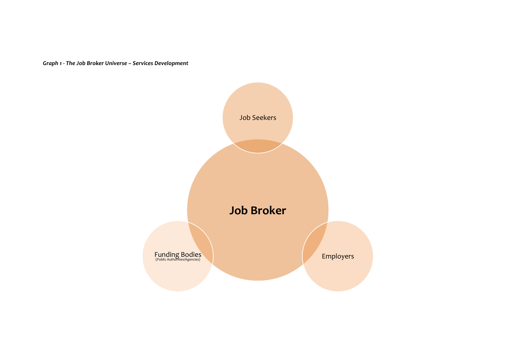Graph 1 - The Job Broker Universe - Services Development

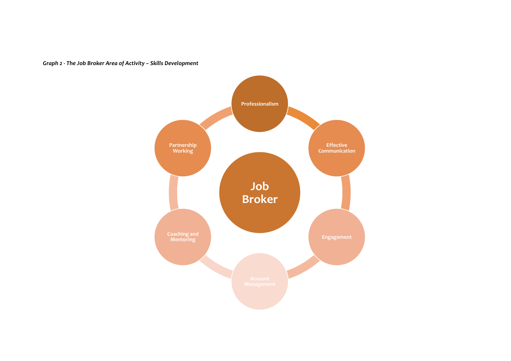

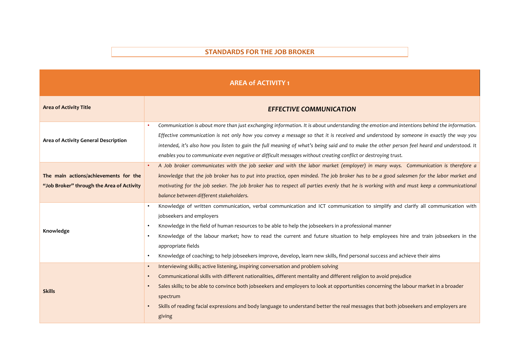### **STANDARDS FOR THE JOB BROKER**

| <b>AREA of ACTIVITY 1</b>                                                          |                                                                                                                                                                                                                                                                                                                                                                                                                                                                                                                                                                                                 |  |  |
|------------------------------------------------------------------------------------|-------------------------------------------------------------------------------------------------------------------------------------------------------------------------------------------------------------------------------------------------------------------------------------------------------------------------------------------------------------------------------------------------------------------------------------------------------------------------------------------------------------------------------------------------------------------------------------------------|--|--|
| <b>Area of Activity Title</b>                                                      | <b>EFFECTIVE COMMUNICATION</b>                                                                                                                                                                                                                                                                                                                                                                                                                                                                                                                                                                  |  |  |
| Area of Activity General Description                                               | Communication is about more than just exchanging information. It is about understanding the emotion and intentions behind the information.<br>٠<br>Effective communication is not only how you convey a message so that it is received and understood by someone in exactly the way you<br>intended, it's also how you listen to gain the full meaning of what's being said and to make the other person feel heard and understood. It<br>enables you to communicate even negative or difficult messages without creating conflict or destroying trust.                                         |  |  |
| The main actions/achievements for the<br>"Job Broker" through the Area of Activity | A Job broker communicates with the job seeker and with the labor market (employer) in many ways. Communication is therefore a<br>$\bullet$<br>knowledge that the job broker has to put into practice, open minded. The job broker has to be a good salesmen for the labor market and<br>motivating for the job seeker. The job broker has to respect all parties evenly that he is working with and must keep a communicational<br>balance between different stakeholders.                                                                                                                      |  |  |
| Knowledge                                                                          | Knowledge of written communication, verbal communication and ICT communication to simplify and clarify all communication with<br>$\bullet$<br>jobseekers and employers<br>Knowledge in the field of human resources to be able to help the jobseekers in a professional manner<br>Knowledge of the labour market; how to read the current and future situation to help employees hire and train jobseekers in the<br>$\bullet$<br>appropriate fields<br>Knowledge of coaching; to help jobseekers improve, develop, learn new skills, find personal success and achieve their aims<br>$\bullet$ |  |  |
| <b>Skills</b>                                                                      | Interviewing skills; active listening, inspiring conversation and problem solving<br>$\bullet$<br>Communicational skills with different nationalities, different mentality and different religion to avoid prejudice<br>$\bullet$<br>Sales skills; to be able to convince both jobseekers and employers to look at opportunities concerning the labour market in a broader<br>spectrum<br>Skills of reading facial expressions and body language to understand better the real messages that both jobseekers and employers are<br>giving                                                        |  |  |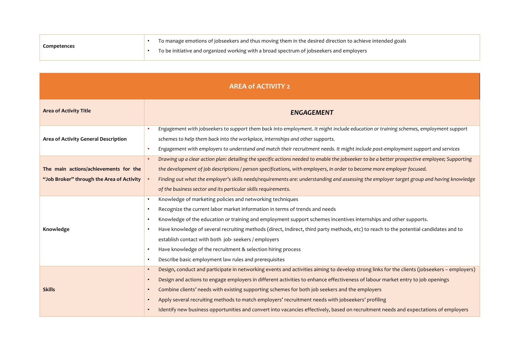| Competences | To manage emotions of jobseekers and thus moving them in the desired direction to achieve intended goals |
|-------------|----------------------------------------------------------------------------------------------------------|
|             | To be initiative and organized working with a broad spectrum of jobseekers and employers                 |

| <b>AREA of ACTIVITY 2</b>                                                          |                                                                                                                                                                                                                                                                                                                                                                                                                                                                                                                                                                                                                                                                                               |  |  |
|------------------------------------------------------------------------------------|-----------------------------------------------------------------------------------------------------------------------------------------------------------------------------------------------------------------------------------------------------------------------------------------------------------------------------------------------------------------------------------------------------------------------------------------------------------------------------------------------------------------------------------------------------------------------------------------------------------------------------------------------------------------------------------------------|--|--|
| <b>Area of Activity Title</b>                                                      | <b>ENGAGEMENT</b>                                                                                                                                                                                                                                                                                                                                                                                                                                                                                                                                                                                                                                                                             |  |  |
| Area of Activity General Description                                               | Engagement with jobseekers to support them back into employment. It might include education or training schemes, employment support<br>$\bullet$<br>schemes to help them back into the workplace, internships and other supports.<br>Engagement with employers to understand and match their recruitment needs. It might include post-employment support and services<br>$\bullet$                                                                                                                                                                                                                                                                                                            |  |  |
| The main actions/achievements for the<br>"Job Broker" through the Area of Activity | Drawing up a clear action plan: detailing the specific actions needed to enable the jobseeker to be a better prospective employee; Supporting<br>$\bullet$<br>the development of job descriptions / person specifications, with employers, in order to become more employer focused.<br>Finding out what the employer's skills needs/requirements are: understanding and assessing the employer target group and having knowledge<br>of the business sector and its particular skills requirements.                                                                                                                                                                                           |  |  |
| Knowledge                                                                          | Knowledge of marketing policies and networking techniques<br>$\bullet$<br>Recognize the current labor market information in terms of trends and needs<br>$\bullet$<br>Knowledge of the education or training and employment support schemes incentives internships and other supports.<br>$\bullet$<br>Have knowledge of several recruiting methods (direct, Indirect, third party methods, etc) to reach to the potential candidates and to<br>$\bullet$<br>establish contact with both job-seekers / employers<br>Have knowledge of the recruitment & selection hiring process<br>$\bullet$<br>Describe basic employment law rules and prerequisites<br>$\bullet$                           |  |  |
| <b>Skills</b>                                                                      | Design, conduct and participate in networking events and activities aiming to develop strong links for the clients (jobseekers - employers)<br>$\bullet$<br>Design and actions to engage employers in different activities to enhance effectiveness of labour market entry to job openings<br>$\bullet$<br>Combine clients' needs with existing supporting schemes for both job seekers and the employers<br>$\bullet$<br>Apply several recruiting methods to match employers' recruitment needs with jobseekers' profiling<br>$\bullet$<br>Identify new business opportunities and convert into vacancies effectively, based on recruitment needs and expectations of employers<br>$\bullet$ |  |  |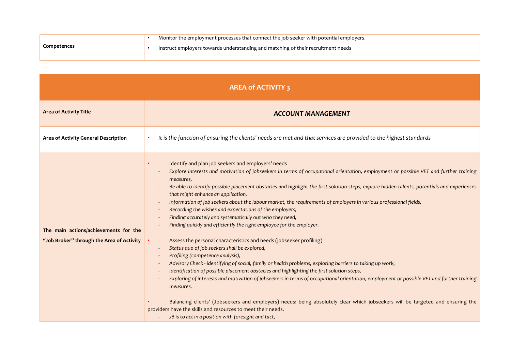|                    | Monitor the employment processes that connect the job seeker with potential employers. |
|--------------------|----------------------------------------------------------------------------------------|
| <b>Competences</b> | Instruct employers towards understanding and matching of their recruitment needs       |
|                    |                                                                                        |

| <b>AREA of ACTIVITY 3</b>                                                          |                                                                                                                                                                                                                                                                                                                                                                                                                                                                                                                                                                                                                                                                                                                                                                                                                                                                                                                                                                                                                                                                                                                                                                                                                                                                                                                                                                                                                                                                                                         |  |  |
|------------------------------------------------------------------------------------|---------------------------------------------------------------------------------------------------------------------------------------------------------------------------------------------------------------------------------------------------------------------------------------------------------------------------------------------------------------------------------------------------------------------------------------------------------------------------------------------------------------------------------------------------------------------------------------------------------------------------------------------------------------------------------------------------------------------------------------------------------------------------------------------------------------------------------------------------------------------------------------------------------------------------------------------------------------------------------------------------------------------------------------------------------------------------------------------------------------------------------------------------------------------------------------------------------------------------------------------------------------------------------------------------------------------------------------------------------------------------------------------------------------------------------------------------------------------------------------------------------|--|--|
| <b>Area of Activity Title</b>                                                      | <b>ACCOUNT MANAGEMENT</b>                                                                                                                                                                                                                                                                                                                                                                                                                                                                                                                                                                                                                                                                                                                                                                                                                                                                                                                                                                                                                                                                                                                                                                                                                                                                                                                                                                                                                                                                               |  |  |
| Area of Activity General Description                                               | It is the function of ensuring the clients' needs are met and that services are provided to the highest standards<br>٠                                                                                                                                                                                                                                                                                                                                                                                                                                                                                                                                                                                                                                                                                                                                                                                                                                                                                                                                                                                                                                                                                                                                                                                                                                                                                                                                                                                  |  |  |
| The main actions/achievements for the<br>"Job Broker" through the Area of Activity | Identify and plan job seekers and employers' needs<br>Explore interests and motivation of jobseekers in terms of occupational orientation, employment or possible VET and further training<br>measures,<br>Be able to identify possible placement obstacles and highlight the first solution steps, explore hidden talents, potentials and experiences<br>that might enhance an application,<br>Information of job seekers about the labour market, the requirements of employers in various professional fields,<br>Recording the wishes and expectations of the employers,<br>Finding accurately and systematically out who they need,<br>Finding quickly and efficiently the right employee for the employer.<br>Assess the personal characteristics and needs (jobseeker profiling)<br>Status quo of job seekers shall be explored,<br>Profiling (competence analysis),<br>Advisory Check - identifying of social, family or health problems, exploring barriers to taking up work,<br>Identification of possible placement obstacles and highlighting the first solution steps,<br>Exploring of interests and motivation of jobseekers in terms of occupational orientation, employment or possible VET and further training<br>measures.<br>Balancing clients' (Jobseekers and employers) needs: being absolutely clear which jobseekers will be targeted and ensuring the<br>providers have the skills and resources to meet their needs.<br>JB is to act in a position with foresight and tact, |  |  |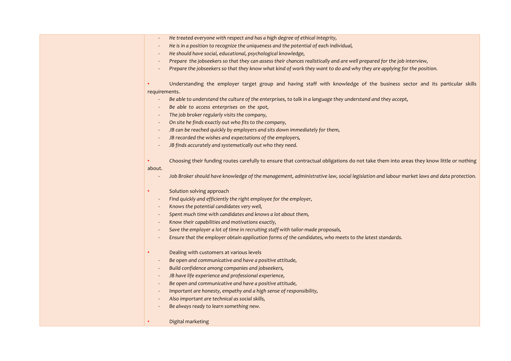- He treated everyone with respect and has a high degree of ethical integrity,
- <sup>-</sup> He is in a position to recognize the uniqueness and the potential of each individual.
- He should have social, educational, psychological knowledge,
- *Prepare the jobseekers so that they can assess their chances realistically and are well prepared for the job interview,*
- *Prepare the jobseekers so that they know what kind of work they want to do and why they are applying for the position.*

Understanding the employer target group and having staff with knowledge of the business sector and its particular skills requirements.

- Be able to understand the culture of the enterprises, to talk in a language they understand and they accept,
- Be able to access enterprises on the spot,
- The job broker regularly visits the company,
- On site he finds exactly out who fits to the company,
- *JB* can be reached quickly by employers and sits down immediately for them,
- *JB recorded the wishes and expectations of the employers,*
- *JB* finds accurately and systematically out who they need.
- Choosing their funding routes carefully to ensure that contractual obligations do not take them into areas they know little or nothing

#### about.

- Job Broker should have knowledge of the management, administrative law, social legislation and labour market laws and data protection.
- Solution solving approach
- Find quickly and efficiently the right employee for the employer,
- Knows the potential candidates very well,
- Spent much time with candidates and knows a lot about them,
- *Know their capabilities and motivations exactly,*
- Save the employer a lot of time in recruiting staff with tailor-made proposals,
- *Ensure that the employer obtain application forms of the candidates, who meets to the latest standards.*
- Dealing with customers at various levels
- Be open and communicative and have a positive attitude,
- *Build confidence among companies and jobseekers,*
- *JB have life experience and professional experience,*
- Be open and communicative and have a positive attitude,
- *Important are honesty, empathy and a high sense of responsibility,*
- Also important are technical as social skills,
- Be always ready to learn something new.

#### Digital marketing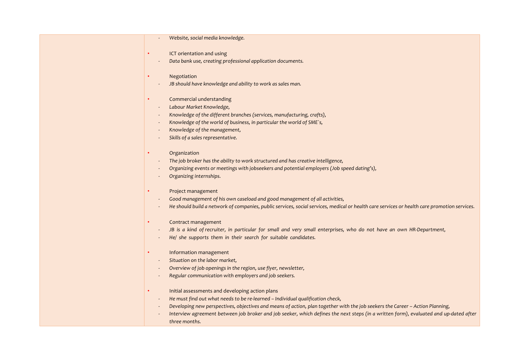|           | Website, social media knowledge.                                                                                                             |
|-----------|----------------------------------------------------------------------------------------------------------------------------------------------|
|           | ICT orientation and using                                                                                                                    |
|           | Data bank use, creating professional application documents.                                                                                  |
|           | Negotiation                                                                                                                                  |
|           | JB should have knowledge and ability to work as sales man.                                                                                   |
|           | Commercial understanding                                                                                                                     |
|           | Labour Market Knowledge,                                                                                                                     |
|           | Knowledge of the different branches (services, manufacturing, crafts),                                                                       |
|           | Knowledge of the world of business, in particular the world of SME`s,                                                                        |
|           | Knowledge of the management,                                                                                                                 |
|           | Skills of a sales representative.                                                                                                            |
|           | Organization                                                                                                                                 |
|           | The job broker has the ability to work structured and has creative intelligence,                                                             |
|           | Organizing events or meetings with jobseekers and potential employers (Job speed dating's),                                                  |
|           | Organizing internships.                                                                                                                      |
|           | Project management                                                                                                                           |
|           | Good management of his own caseload and good management of all activities,                                                                   |
|           | He should build a network of companies, public services, social services, medical or health care services or health care promotion services. |
|           | Contract management                                                                                                                          |
|           | JB is a kind of recruiter, in particular for small and very small enterprises, who do not have an own HR-Department,                         |
|           | He/ she supports them in their search for suitable candidates.                                                                               |
|           | Information management                                                                                                                       |
|           | Situation on the labor market,                                                                                                               |
|           | Overview of job openings in the region, use flyer, newsletter,                                                                               |
|           | Regular communication with employers and job seekers.                                                                                        |
| $\bullet$ | Initial assessments and developing action plans                                                                                              |
|           | He must find out what needs to be re-learned - Individual qualification check,                                                               |
|           | Developing new perspectives, objectives and means of action, plan together with the job seekers the Career - Action Planning,                |
|           | Interview agreement between job broker and job seeker, which defines the next steps (in a written form), evaluated and up-dated after        |
|           | three months.                                                                                                                                |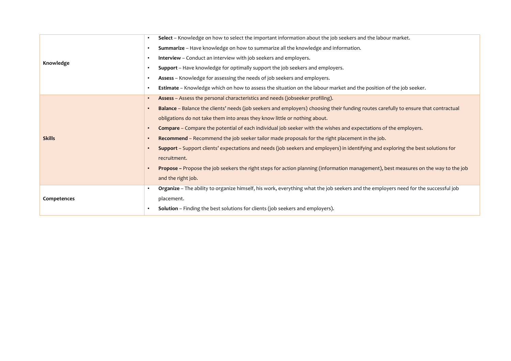|               | Select - Knowledge on how to select the important information about the job seekers and the labour market.<br>$\bullet$                          |
|---------------|--------------------------------------------------------------------------------------------------------------------------------------------------|
|               | Summarize - Have knowledge on how to summarize all the knowledge and information.<br>$\bullet$                                                   |
| Knowledge     | <b>Interview</b> – Conduct an interview with job seekers and employers.<br>$\bullet$                                                             |
|               | <b>Support</b> – Have knowledge for optimally support the job seekers and employers.<br>$\bullet$                                                |
|               | Assess - Knowledge for assessing the needs of job seekers and employers.<br>$\bullet$                                                            |
|               | Estimate - Knowledge which on how to assess the situation on the labour market and the position of the job seeker.<br>$\bullet$                  |
|               | Assess - Assess the personal characteristics and needs (jobseeker profiling).<br>$\bullet$                                                       |
|               | Balance - Balance the clients' needs (job seekers and employers) choosing their funding routes carefully to ensure that contractual<br>$\bullet$ |
|               | obligations do not take them into areas they know little or nothing about.                                                                       |
|               | <b>Compare</b> – Compare the potential of each individual job seeker with the wishes and expectations of the employers.<br>$\bullet$             |
| <b>Skills</b> | Recommend – Recommend the job seeker tailor made proposals for the right placement in the job.                                                   |
|               | Support - Support clients' expectations and needs (job seekers and employers) in identifying and exploring the best solutions for<br>$\bullet$   |
|               | recruitment.                                                                                                                                     |
|               | Propose – Propose the job seekers the right steps for action planning (information management), best measures on the way to the job<br>$\bullet$ |
|               | and the right job.                                                                                                                               |
|               | Organize - The ability to organize himself, his work, everything what the job seekers and the employers need for the successful job<br>$\bullet$ |
| Competences   | placement.                                                                                                                                       |
|               | <b>Solution</b> – Finding the best solutions for clients (job seekers and employers).<br>$\bullet$                                               |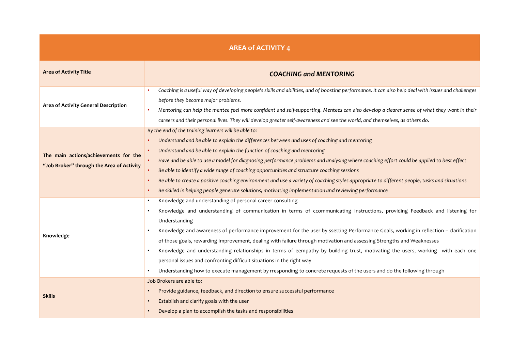| <b>AREA of ACTIVITY 4</b>                                                          |                                                                                                                                                                                                                                                                                                                                                                                                                                                                                                                                                                                                                                                                                                                                                                                                                                                                  |  |  |  |
|------------------------------------------------------------------------------------|------------------------------------------------------------------------------------------------------------------------------------------------------------------------------------------------------------------------------------------------------------------------------------------------------------------------------------------------------------------------------------------------------------------------------------------------------------------------------------------------------------------------------------------------------------------------------------------------------------------------------------------------------------------------------------------------------------------------------------------------------------------------------------------------------------------------------------------------------------------|--|--|--|
| <b>Area of Activity Title</b>                                                      | <b>COACHING and MENTORING</b>                                                                                                                                                                                                                                                                                                                                                                                                                                                                                                                                                                                                                                                                                                                                                                                                                                    |  |  |  |
| Area of Activity General Description                                               | Coaching is a useful way of developing people's skills and abilities, and of boosting performance. It can also help deal with issues and challenges<br>$\bullet$<br>before they become major problems.<br>Mentoring can help the mentee feel more confident and self-supporting. Mentees can also develop a clearer sense of what they want in their<br>$\bullet$<br>careers and their personal lives. They will develop greater self-awareness and see the world, and themselves, as others do.                                                                                                                                                                                                                                                                                                                                                                 |  |  |  |
| The main actions/achievements for the<br>"Job Broker" through the Area of Activity | By the end of the training learners will be able to:<br>Understand and be able to explain the differences between and uses of coaching and mentoring<br>Understand and be able to explain the function of coaching and mentoring<br>$\bullet$<br>Have and be able to use a model for diagnosing performance problems and analysing where coaching effort could be applied to best effect<br>$\bullet$<br>Be able to identify a wide range of coaching opportunities and structure coaching sessions<br>Be able to create a positive coaching environment and use a variety of coaching styles appropriate to different people, tasks and situations<br>٠<br>Be skilled in helping people generate solutions, motivating implementation and reviewing performance                                                                                                 |  |  |  |
| Knowledge                                                                          | Knowledge and understanding of personal career consulting<br>$\bullet$<br>Knowledge and understanding of communication in terms of ccommunicating Instructions, providing Feedback and listening for<br>$\bullet$<br>Understanding<br>Knowledge and awareness of performance improvement for the user by ssetting Performance Goals, working in reflection - clarification<br>of those goals, rewarding Improvement, dealing with failure through motivation and assessing Strengths and Weaknesses<br>Knowledge and understanding relationships in terms of eempathy by building trust, motivating the users, working with each one<br>$\bullet$<br>personal issues and confronting difficult situations in the right way<br>Understanding how to execute management by rresponding to concrete requests of the users and do the following through<br>$\bullet$ |  |  |  |
| <b>Skills</b>                                                                      | Job Brokers are able to:<br>Provide guidance, feedback, and direction to ensure successful performance<br>Establish and clarify goals with the user<br>$\bullet$<br>Develop a plan to accomplish the tasks and responsibilities                                                                                                                                                                                                                                                                                                                                                                                                                                                                                                                                                                                                                                  |  |  |  |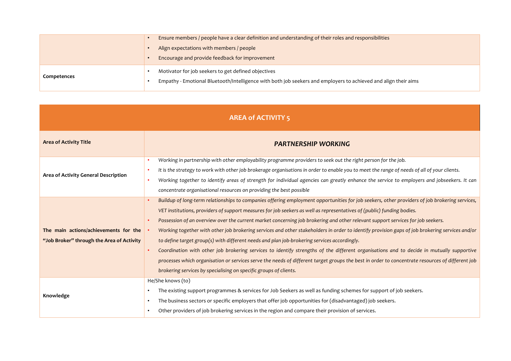|             | Ensure members / people have a clear definition and understanding of their roles and responsibilities                                                                  |  |  |
|-------------|------------------------------------------------------------------------------------------------------------------------------------------------------------------------|--|--|
|             | Align expectations with members / people                                                                                                                               |  |  |
|             | Encourage and provide feedback for improvement                                                                                                                         |  |  |
| Competences | Motivator for job seekers to get defined objectives<br>Empathy - Emotional Bluetooth/Intelligence with both job seekers and employers to achieved and align their aims |  |  |

| <b>AREA of ACTIVITY 5</b>                                                          |                                                                                                                                                                                                                                                                                                                                                                                                                                                                                                                                                                                                                                                                                                                                                                                                                                                                                                                                                                                                                                              |  |  |  |
|------------------------------------------------------------------------------------|----------------------------------------------------------------------------------------------------------------------------------------------------------------------------------------------------------------------------------------------------------------------------------------------------------------------------------------------------------------------------------------------------------------------------------------------------------------------------------------------------------------------------------------------------------------------------------------------------------------------------------------------------------------------------------------------------------------------------------------------------------------------------------------------------------------------------------------------------------------------------------------------------------------------------------------------------------------------------------------------------------------------------------------------|--|--|--|
| <b>Area of Activity Title</b>                                                      | <b>PARTNERSHIP WORKING</b>                                                                                                                                                                                                                                                                                                                                                                                                                                                                                                                                                                                                                                                                                                                                                                                                                                                                                                                                                                                                                   |  |  |  |
| Area of Activity General Description                                               | Working in partnership with other employability programme providers to seek out the right person for the job.<br>٠<br>It is the strategy to work with other job brokerage organisations in order to enable you to meet the range of needs of all of your clients.<br>٠<br>Working together to identify areas of strength for individual agencies can greatly enhance the service to employers and jobseekers. It can<br>٠<br>concentrate organisational resources on providing the best possible                                                                                                                                                                                                                                                                                                                                                                                                                                                                                                                                             |  |  |  |
| The main actions/achievements for the<br>"Job Broker" through the Area of Activity | Buildup of long-term relationships to companies offering employment opportunities for job seekers, other providers of job brokering services,<br>$\bullet$<br>VET institutions, providers of support measures for job seekers as well as representatives of (public) funding bodies.<br>Possession of an overview over the current market concerning job brokering and other relevant support services for job seekers.<br>Working together with other job brokering services and other stakeholders in order to identify provision gaps of job brokering services and/or<br>to define target group(s) with different needs and plan job-brokering services accordingly.<br>Coordination with other job brokering services to identify strengths of the different organisations and to decide in mutually supportive<br>processes which organisation or services serve the needs of different target groups the best in order to concentrate resources of different job<br>brokering services by specialising on specific groups of clients. |  |  |  |
| Knowledge                                                                          | He/She knows (to)<br>The existing support programmes & services for Job Seekers as well as funding schemes for support of job seekers.<br>$\bullet$<br>The business sectors or specific employers that offer job opportunities for (disadvantaged) job seekers.<br>$\bullet$<br>Other providers of job brokering services in the region and compare their provision of services.<br>$\bullet$                                                                                                                                                                                                                                                                                                                                                                                                                                                                                                                                                                                                                                                |  |  |  |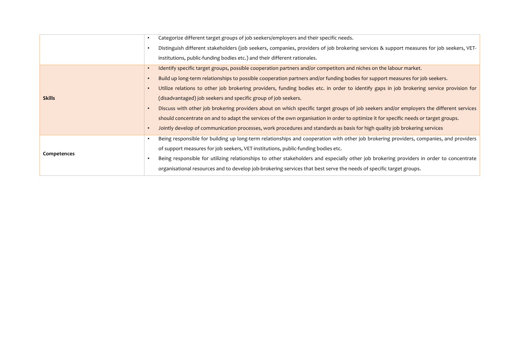|               | Categorize different target groups of job seekers/employers and their specific needs.<br>$\bullet$                                                    |
|---------------|-------------------------------------------------------------------------------------------------------------------------------------------------------|
|               | Distinguish different stakeholders (job seekers, companies, providers of job brokering services & support measures for job seekers, VET-              |
|               | institutions, public-funding bodies etc.) and their different rationales.                                                                             |
|               | Identify specific target groups, possible cooperation partners and/or competitors and niches on the labour market.<br>$\bullet$                       |
|               | Build up long-term relationships to possible cooperation partners and/or funding bodies for support measures for job seekers.                         |
|               | Utilize relations to other job brokering providers, funding bodies etc. in order to identify gaps in job brokering service provision for<br>$\bullet$ |
| <b>Skills</b> | (disadvantaged) job seekers and specific group of job seekers.                                                                                        |
|               | Discuss with other job brokering providers about on which specific target groups of job seekers and/or employers the different services<br>$\bullet$  |
|               | should concentrate on and to adapt the services of the own organisation in order to optimize it for specific needs or target groups.                  |
|               | Jointly develop of communication processes, work procedures and standards as basis for high quality job brokering services                            |
|               | Being responsible for building up long-term relationships and cooperation with other job brokering providers, companies, and providers                |
| Competences   | of support measures for job seekers, VET-institutions, public-funding bodies etc.                                                                     |
|               | Being responsible for utilizing relationships to other stakeholders and especially other job brokering providers in order to concentrate              |
|               | organisational resources and to develop job-brokering services that best serve the needs of specific target groups.                                   |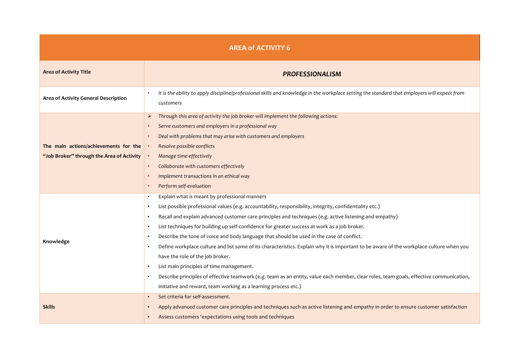| <b>AREA of ACTIVITY 6</b>                                                          |                                                                                                                                                                                                                                                                                                                                                                                                                                                                                                                                                                                                                                                                                                                                                                                                                                                                                                                                                                                                                     |  |  |
|------------------------------------------------------------------------------------|---------------------------------------------------------------------------------------------------------------------------------------------------------------------------------------------------------------------------------------------------------------------------------------------------------------------------------------------------------------------------------------------------------------------------------------------------------------------------------------------------------------------------------------------------------------------------------------------------------------------------------------------------------------------------------------------------------------------------------------------------------------------------------------------------------------------------------------------------------------------------------------------------------------------------------------------------------------------------------------------------------------------|--|--|
| <b>Area of Activity Title</b><br><b>PROFESSIONALISM</b>                            |                                                                                                                                                                                                                                                                                                                                                                                                                                                                                                                                                                                                                                                                                                                                                                                                                                                                                                                                                                                                                     |  |  |
| Area of Activity General Description                                               | It is the ability to apply discipline/professional skills and knowledge in the workplace setting the standard that employers will expect from<br>customers                                                                                                                                                                                                                                                                                                                                                                                                                                                                                                                                                                                                                                                                                                                                                                                                                                                          |  |  |
| The main actions/achievements for the<br>"Job Broker" through the Area of Activity | Through this area of activity the job broker will implement the following actions:<br>➤<br>Serve customers and employers in a professional way<br>Deal with problems that may arise with customers and employers<br>Resolve possible conflicts<br>Manage time effectively<br>Collaborate with customers effectively<br>Implement transactions in an ethical way<br>Perform self-evaluation                                                                                                                                                                                                                                                                                                                                                                                                                                                                                                                                                                                                                          |  |  |
| Knowledge                                                                          | Explain what is meant by professional manners<br>$\bullet$<br>List possible professional values (e.g. accountability, responsibility, integrity, confidentiality etc.)<br>$\bullet$<br>Recall and explain advanced customer care principles and techniques (e.g. active listening and empathy)<br>$\bullet$<br>List techniques for building up self-confidence for greater success at work as a job broker.<br>$\bullet$<br>Describe the tone of voice and body language that should be used in the case of conflict.<br>$\bullet$<br>Define workplace culture and list some of its characteristics. Explain why it is important to be aware of the workplace culture when you<br>$\bullet$<br>have the role of the job broker.<br>List main principles of time management.<br>$\bullet$<br>Describe principles of effective teamwork (e.g. team as an entity, value each member, clear roles, team goals, effective communication,<br>$\bullet$<br>initiative and reward, team working as a learning process etc.) |  |  |
| <b>Skills</b>                                                                      | Set criteria for self-assessment.<br>$\bullet$<br>Apply advanced customer care principles and techniques such as active listening and empathy in order to ensure customer satisfaction<br>Assess customers 'expectations using tools and techniques<br>$\bullet$                                                                                                                                                                                                                                                                                                                                                                                                                                                                                                                                                                                                                                                                                                                                                    |  |  |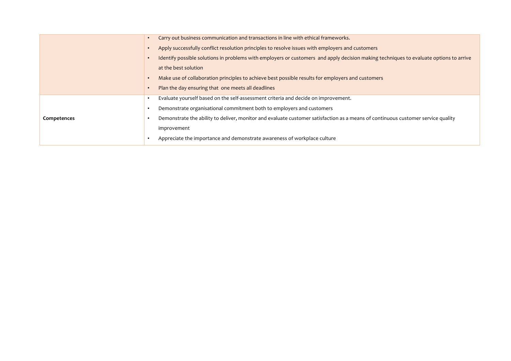|             | Carry out business communication and transactions in line with ethical frameworks.                                                     |
|-------------|----------------------------------------------------------------------------------------------------------------------------------------|
|             | Apply successfully conflict resolution principles to resolve issues with employers and customers                                       |
|             | Identify possible solutions in problems with employers or customers and apply decision making techniques to evaluate options to arrive |
|             | at the best solution                                                                                                                   |
|             | Make use of collaboration principles to achieve best possible results for employers and customers                                      |
|             | Plan the day ensuring that one meets all deadlines                                                                                     |
|             | Evaluate yourself based on the self-assessment criteria and decide on improvement.                                                     |
|             | Demonstrate organisational commitment both to employers and customers                                                                  |
| Competences | Demonstrate the ability to deliver, monitor and evaluate customer satisfaction as a means of continuous customer service quality       |
|             | improvement                                                                                                                            |
|             | Appreciate the importance and demonstrate awareness of workplace culture                                                               |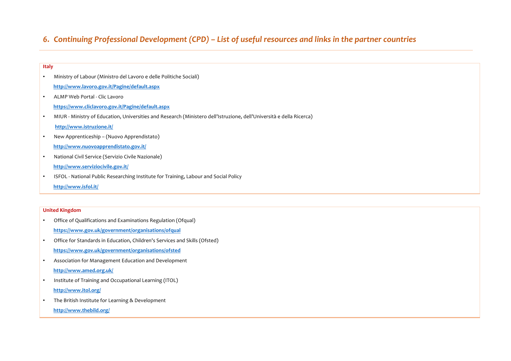# 6. Continuing Professional Development (CPD) – List of useful resources and links in the partner countries

#### **Italy**

- Ministry of Labour (Ministro del Lavoro e delle Politiche Sociali)  **http://www.lavoro.gov.it/Pagine/default.aspx**
- ALMP Web Portal Clic Lavoro
	- **https://www.cliclavoro.gov.it/Pagine/default.aspx**
- MIUR Ministry of Education, Universities and Research (Ministero dell'Istruzione, dell'Università e della Ricerca)

### http://www.istruzione.it/

- New Apprenticeship (Nuovo Apprendistato) http://www.nuovoapprendistato.gov.it/
- National Civil Service (Servizio Civile Nazionale)

### **http://www.serviziocivile.gov.it/**

• ISFOL - National Public Researching Institute for Training, Labour and Social Policy

http://www.isfol.it/

### **United Kingdom**

- Office of Qualifications and Examinations Regulation (Ofqual)  **https://www.gov.uk/government/organisations/ofqual**
- Office for Standards in Education, Children's Services and Skills (Ofsted)  **https://www.gov.uk/government/organisations/ofsted**
- Association for Management Education and Development  **http://www.amed.org.uk/**
- Institute of Training and Occupational Learning (ITOL)  **http://www.itol.org/**
- The British Institute for Learning & Development

 **http://www.thebild.org/**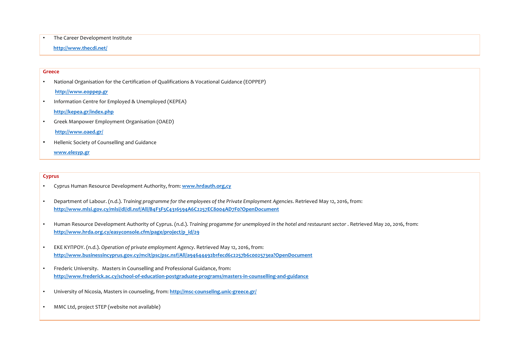#### • The Career Development Institute

#### **http://www.thecdi.net/**

#### **Greece**

• National Organisation for the Certification of Qualifications & Vocational Guidance (EOPPEP) **http://www.eoppep.gr**

• Information Centre for Employed & Unemployed (KEPEA)

**http://kepea.gr/index.php**

• Greek Manpower Employment Organisation (OAED)

#### **http://www.oaed.gr/**

• Hellenic Society of Counselling and Guidance

#### **www.elesyp.gr**

#### **Cyprus**

- Cyprus Human Resource Development Authority, from: **www.hrdauth.org,cy**
- Department of Labour. (n.d.). *Training programme for the employees of the Private Employment Agencies*. Retrieved May 12, 2016, from: **http://www.mlsi.gov.cy/mlsi/dl/dl.nsf/All/B4F3F5C4316594A6C2257EC8004AD7F0?OpenDocument**
- Human Resource Development Authority of Cyprus. (n.d.). Training progamme for unemployed in the hotel and restaurant sector . Retrieved May 20, 2016, from: **http://www.hrda.org.cy/easyconsole.cfm/page/project/p\_id/29**
- EKE KYΠPOY. (n.d.). Operation of private employment Agency. Retrieved May 12, 2016, from: **http://www.businessincyprus.gov.cy/mcit/psc/psc.nsf/All/a94644492b1fecd6c2257b6c002573ea?OpenDocument**
- Frederic University. Masters in Counselling and Professional Guidance, from: **http://www.frederick.ac.cy/school-of-education-postgraduate-programs/masters-in-counselling-and-guidance**
- University of Nicosia, Masters in counseling, from: http://msc-counseling.unic-greece.gr/
- MMC Ltd, project STEP (website not available)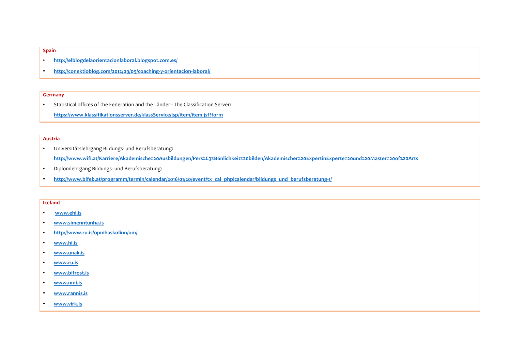#### **Spain**

- **http://elblogdelaorientacionlaboral.blogspot.com.es/**
- **http://conektioblog.com/2012/09/09/coaching-y-orientacion-laboral/**

#### **Germany**

• Statistical offices of the Federation and the Länder - The Classification Server: **https://www.klassifikationsserver.de/klassService/jsp/item/item.jsf?form**

#### **Austria**

- Universitätslehrgang Bildungs- und Berufsberatung: **http://www.wifi.at/Karriere/Akademische%20Ausbildungen/Pers%C3%B6nlichkeit%20bilden/Akademischer%20ExpertinExperte%20und%20Master%20of%20Arts**
- Diplomlehrgang Bildungs- und Berufsberatung:
- http://www.bifeb.at/programm/termin/calendar/2016/01/20/event/tx\_cal\_phpicalendar/bildungs\_und\_berufsberatung-1/

#### **Iceland**

- **www.ehi.is**
- **www.simenntunha.is**
- **http://www.ru.is/opnihaskolinn/um/**
- **www.hi.is**
- **www.unak.is**
- **www.ru.is**
- **www.bifrost.is**
- **www.nmi.is**
- **www.rannis.is**
- **www.virk.is**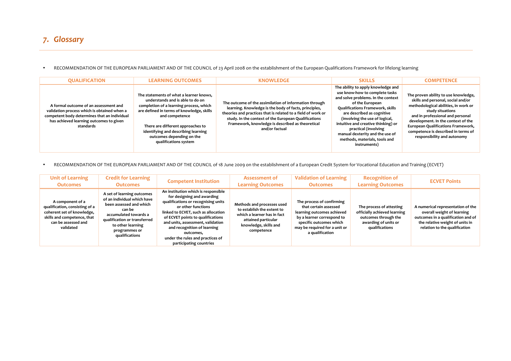• RECOMMENDATION OF THE EUROPEAN PARLIAMENT AND OF THE COUNCIL of 23 April 2008 on the establishment of the European Qualifications Framework for lifelong learning

| <b>QUALIFICATION</b>                                                                                                                                                                         | <b>LEARNING OUTCOMES</b>                                                                                                                                                                                                                                                                                                | <b>KNOWLEDGE</b>                                                                                                                                                                                                                                                                                              | <b>SKILLS</b>                                                                                                                                                                                                                                                                                                                                                                               | <b>COMPETENCE</b>                                                                                                                                                                                                                                                                                                                   |
|----------------------------------------------------------------------------------------------------------------------------------------------------------------------------------------------|-------------------------------------------------------------------------------------------------------------------------------------------------------------------------------------------------------------------------------------------------------------------------------------------------------------------------|---------------------------------------------------------------------------------------------------------------------------------------------------------------------------------------------------------------------------------------------------------------------------------------------------------------|---------------------------------------------------------------------------------------------------------------------------------------------------------------------------------------------------------------------------------------------------------------------------------------------------------------------------------------------------------------------------------------------|-------------------------------------------------------------------------------------------------------------------------------------------------------------------------------------------------------------------------------------------------------------------------------------------------------------------------------------|
| A formal outcome of an assessment and<br>validation process which is obtained when a<br>competent body determines that an individual<br>has achieved learning outcomes to given<br>standards | The statements of what a learner knows,<br>understands and is able to do on<br>completion of a learning process, which<br>are defined in terms of knowledge, skills<br>and competence<br>There are different approaches to<br>identifying and describing learning<br>outcomes depending on the<br>qualifications system | The outcome of the assimilation of information through<br>learning. Knowledge is the body of facts, principles,<br>theories and practices that is related to a field of work or<br>study. In the context of the European Qualifications<br>Framework, knowledge is described as theoretical<br>and/or factual | The ability to apply knowledge and<br>use know-how to complete tasks<br>and solve problems. In the context<br>of the European<br><b>Qualifications Framework, skills</b><br>are described as cognitive<br>(involving the use of logical,<br>intuitive and creative thinking) or<br>practical (involving<br>manual dexterity and the use of<br>methods, materials, tools and<br>instruments) | The proven ability to use knowledge,<br>skills and personal, social and/or<br>methodological abilities, in work or<br>study situations<br>and in professional and personal<br>development. In the context of the<br><b>European Qualifications Framework,</b><br>competence is described in terms of<br>responsibility and autonomy |

• RECOMMENDATION OF THE EUROPEAN PARLIAMENT AND OF THE COUNCIL of 18 June 2009 on the establishment of a European Credit System for Vocational Education and Training (ECVET)

| <b>Unit of Learning</b><br><b>Outcomes</b>                                                                                                          | <b>Credit for Learning</b><br><b>Outcomes</b>                                                                                                                                                                   | <b>Competent Institution</b>                                                                                                                                                                                                                                                                                                                               | <b>Assessment of</b><br><b>Learning Outcomes</b>                                                                                                      | <b>Validation of Learning</b><br><b>Outcomes</b>                                                                                                                                              | <b>Recognition of</b><br><b>Learning Outcomes</b>                                                                          | <b>ECVET Points</b>                                                                                                                                                       |
|-----------------------------------------------------------------------------------------------------------------------------------------------------|-----------------------------------------------------------------------------------------------------------------------------------------------------------------------------------------------------------------|------------------------------------------------------------------------------------------------------------------------------------------------------------------------------------------------------------------------------------------------------------------------------------------------------------------------------------------------------------|-------------------------------------------------------------------------------------------------------------------------------------------------------|-----------------------------------------------------------------------------------------------------------------------------------------------------------------------------------------------|----------------------------------------------------------------------------------------------------------------------------|---------------------------------------------------------------------------------------------------------------------------------------------------------------------------|
| A component of a<br>qualification, consisting of a<br>coherent set of knowledge,<br>skills and competence, that<br>can be assessed and<br>validated | A set of learning outcomes<br>of an individual which have<br>been assessed and which<br>can be<br>accumulated towards a<br>qualification or transferred<br>to other learning<br>programmes or<br>qualifications | An institution which is responsible<br>for designing and awarding<br>qualifications or recognising units<br>or other functions<br>linked to ECVET, such as allocation<br>of ECVET points to qualifications<br>and units, assessment, validation<br>and recognition of learning<br>outcomes,<br>under the rules and practices of<br>participating countries | Methods and processes used<br>to establish the extent to<br>which a learner has in fact<br>attained particular<br>knowledge, skills and<br>competence | The process of confirming<br>that certain assessed<br>learning outcomes achieved<br>by a learner correspond to<br>specific outcomes which<br>may be required for a unit or<br>a qualification | The process of attesting<br>officially achieved learning<br>outcomes through the<br>awarding of units or<br>qualifications | A numerical representation of the<br>overall weight of learning<br>outcomes in a qualification and of<br>the relative weight of units in<br>relation to the qualification |